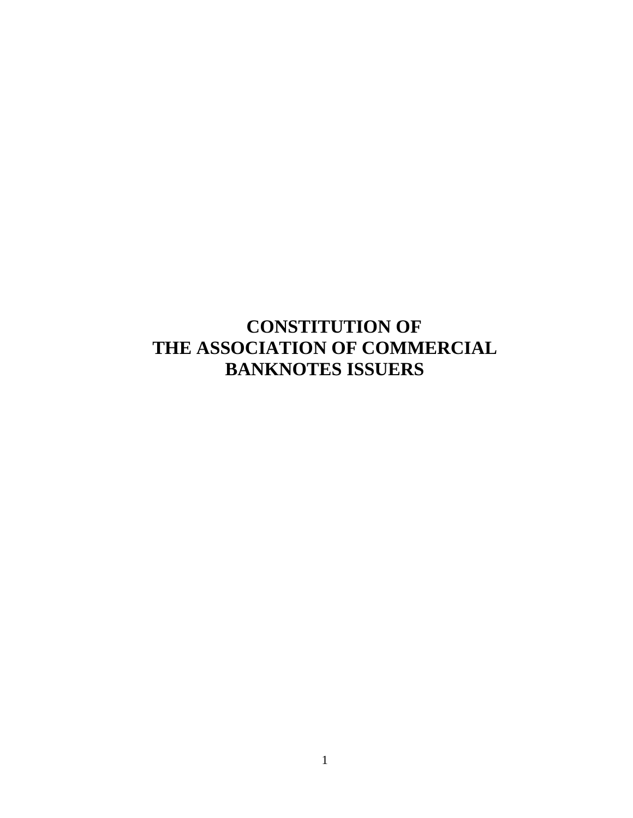# **CONSTITUTION OF THE ASSOCIATION OF COMMERCIAL BANKNOTES ISSUERS**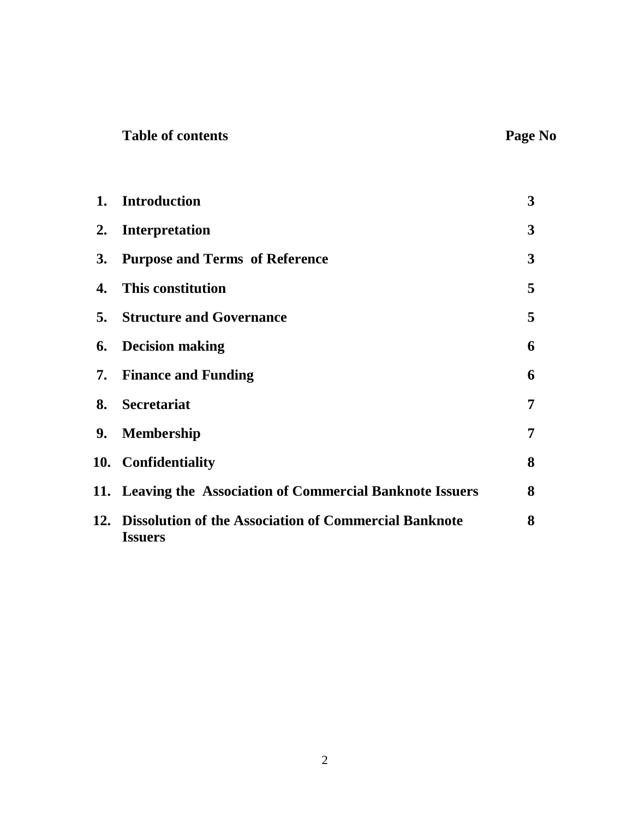|  | <b>Table of contents</b> |  |  |  |
|--|--------------------------|--|--|--|
|--|--------------------------|--|--|--|

|           | 1. Introduction                                                             | $\mathbf{3}$ |
|-----------|-----------------------------------------------------------------------------|--------------|
| 2.        | <b>Interpretation</b>                                                       | 3            |
| <b>3.</b> | <b>Purpose and Terms of Reference</b>                                       | 3            |
| 4.        | This constitution                                                           | 5            |
|           | <b>5.</b> Structure and Governance                                          | 5            |
| 6.        | <b>Decision making</b>                                                      | 6            |
|           | <b>7.</b> Finance and Funding                                               | 6            |
| 8.        | <b>Secretariat</b>                                                          | 7            |
|           | 9. Membership                                                               | 7            |
|           | 10. Confidentiality                                                         | 8            |
|           | 11. Leaving the Association of Commercial Banknote Issuers                  | 8            |
|           | 12. Dissolution of the Association of Commercial Banknote<br><b>Issuers</b> | 8            |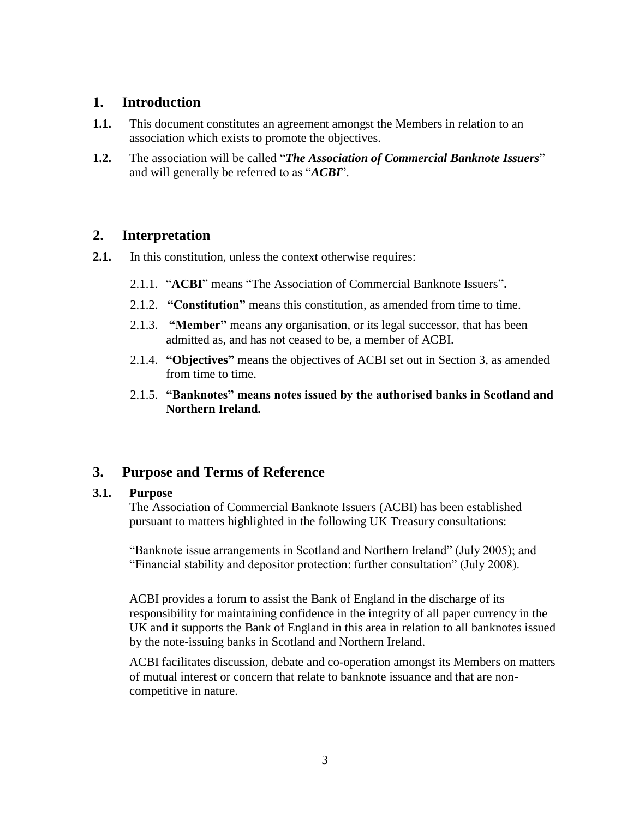# **1. Introduction**

- **1.1.** This document constitutes an agreement amongst the Members in relation to an association which exists to promote the objectives.
- **1.2.** The association will be called "*The Association of Commercial Banknote Issuers*" and will generally be referred to as "*ACBI*".

# **2. Interpretation**

- **2.1.** In this constitution, unless the context otherwise requires:
	- 2.1.1. "**ACBI**" means "The Association of Commercial Banknote Issuers"**.**
	- 2.1.2. **"Constitution"** means this constitution, as amended from time to time.
	- 2.1.3. **"Member"** means any organisation, or its legal successor, that has been admitted as, and has not ceased to be, a member of ACBI.
	- 2.1.4. **"Objectives"** means the objectives of ACBI set out in Section 3, as amended from time to time.
	- 2.1.5. **"Banknotes" means notes issued by the authorised banks in Scotland and Northern Ireland.**

# **3. Purpose and Terms of Reference**

#### **3.1. Purpose**

The Association of Commercial Banknote Issuers (ACBI) has been established pursuant to matters highlighted in the following UK Treasury consultations:

"Banknote issue arrangements in Scotland and Northern Ireland" (July 2005); and "Financial stability and depositor protection: further consultation" (July 2008).

ACBI provides a forum to assist the Bank of England in the discharge of its responsibility for maintaining confidence in the integrity of all paper currency in the UK and it supports the Bank of England in this area in relation to all banknotes issued by the note-issuing banks in Scotland and Northern Ireland.

ACBI facilitates discussion, debate and co-operation amongst its Members on matters of mutual interest or concern that relate to banknote issuance and that are noncompetitive in nature.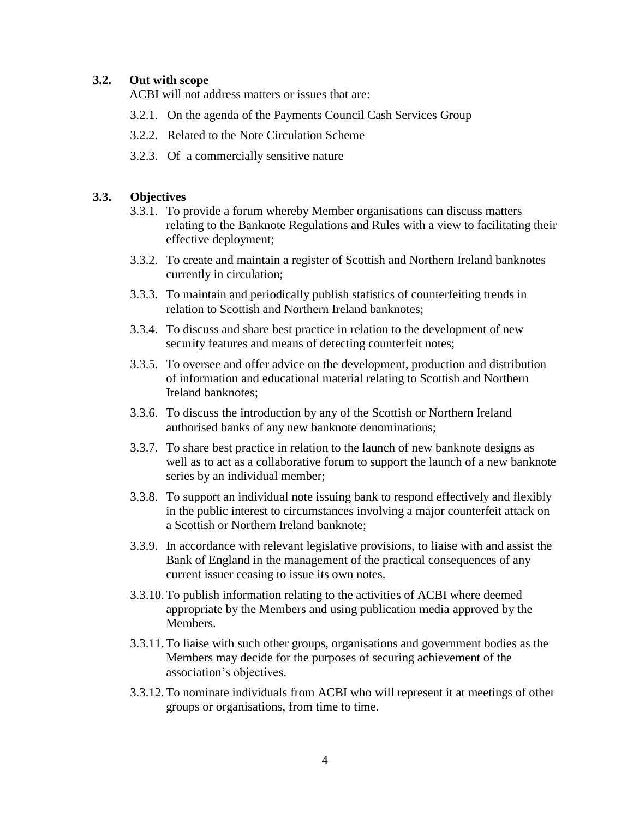#### **3.2. Out with scope**

ACBI will not address matters or issues that are:

- 3.2.1. On the agenda of the Payments Council Cash Services Group
- 3.2.2. Related to the Note Circulation Scheme
- 3.2.3. Of a commercially sensitive nature

#### **3.3. Objectives**

- 3.3.1. To provide a forum whereby Member organisations can discuss matters relating to the Banknote Regulations and Rules with a view to facilitating their effective deployment;
- 3.3.2. To create and maintain a register of Scottish and Northern Ireland banknotes currently in circulation;
- 3.3.3. To maintain and periodically publish statistics of counterfeiting trends in relation to Scottish and Northern Ireland banknotes;
- 3.3.4. To discuss and share best practice in relation to the development of new security features and means of detecting counterfeit notes;
- 3.3.5. To oversee and offer advice on the development, production and distribution of information and educational material relating to Scottish and Northern Ireland banknotes;
- 3.3.6. To discuss the introduction by any of the Scottish or Northern Ireland authorised banks of any new banknote denominations;
- 3.3.7. To share best practice in relation to the launch of new banknote designs as well as to act as a collaborative forum to support the launch of a new banknote series by an individual member;
- 3.3.8. To support an individual note issuing bank to respond effectively and flexibly in the public interest to circumstances involving a major counterfeit attack on a Scottish or Northern Ireland banknote;
- 3.3.9. In accordance with relevant legislative provisions, to liaise with and assist the Bank of England in the management of the practical consequences of any current issuer ceasing to issue its own notes.
- 3.3.10.To publish information relating to the activities of ACBI where deemed appropriate by the Members and using publication media approved by the Members.
- 3.3.11.To liaise with such other groups, organisations and government bodies as the Members may decide for the purposes of securing achievement of the association's objectives.
- 3.3.12.To nominate individuals from ACBI who will represent it at meetings of other groups or organisations, from time to time.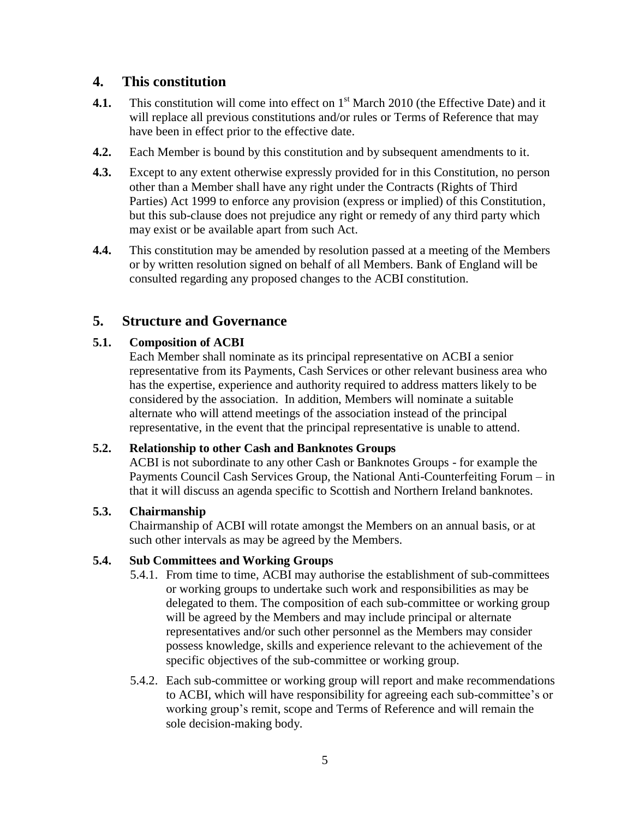# **4. This constitution**

- **4.1.** This constitution will come into effect on 1<sup>st</sup> March 2010 (the Effective Date) and it will replace all previous constitutions and/or rules or Terms of Reference that may have been in effect prior to the effective date.
- **4.2.** Each Member is bound by this constitution and by subsequent amendments to it.
- **4.3.** Except to any extent otherwise expressly provided for in this Constitution, no person other than a Member shall have any right under the Contracts (Rights of Third Parties) Act 1999 to enforce any provision (express or implied) of this Constitution, but this sub-clause does not prejudice any right or remedy of any third party which may exist or be available apart from such Act.
- **4.4.** This constitution may be amended by resolution passed at a meeting of the Members or by written resolution signed on behalf of all Members. Bank of England will be consulted regarding any proposed changes to the ACBI constitution.

# **5. Structure and Governance**

## **5.1. Composition of ACBI**

Each Member shall nominate as its principal representative on ACBI a senior representative from its Payments, Cash Services or other relevant business area who has the expertise, experience and authority required to address matters likely to be considered by the association. In addition, Members will nominate a suitable alternate who will attend meetings of the association instead of the principal representative, in the event that the principal representative is unable to attend.

#### **5.2. Relationship to other Cash and Banknotes Groups**

ACBI is not subordinate to any other Cash or Banknotes Groups - for example the Payments Council Cash Services Group, the National Anti-Counterfeiting Forum – in that it will discuss an agenda specific to Scottish and Northern Ireland banknotes.

#### **5.3. Chairmanship**

Chairmanship of ACBI will rotate amongst the Members on an annual basis, or at such other intervals as may be agreed by the Members.

#### **5.4. Sub Committees and Working Groups**

- 5.4.1. From time to time, ACBI may authorise the establishment of sub-committees or working groups to undertake such work and responsibilities as may be delegated to them. The composition of each sub-committee or working group will be agreed by the Members and may include principal or alternate representatives and/or such other personnel as the Members may consider possess knowledge, skills and experience relevant to the achievement of the specific objectives of the sub-committee or working group.
- 5.4.2. Each sub-committee or working group will report and make recommendations to ACBI, which will have responsibility for agreeing each sub-committee's or working group's remit, scope and Terms of Reference and will remain the sole decision-making body.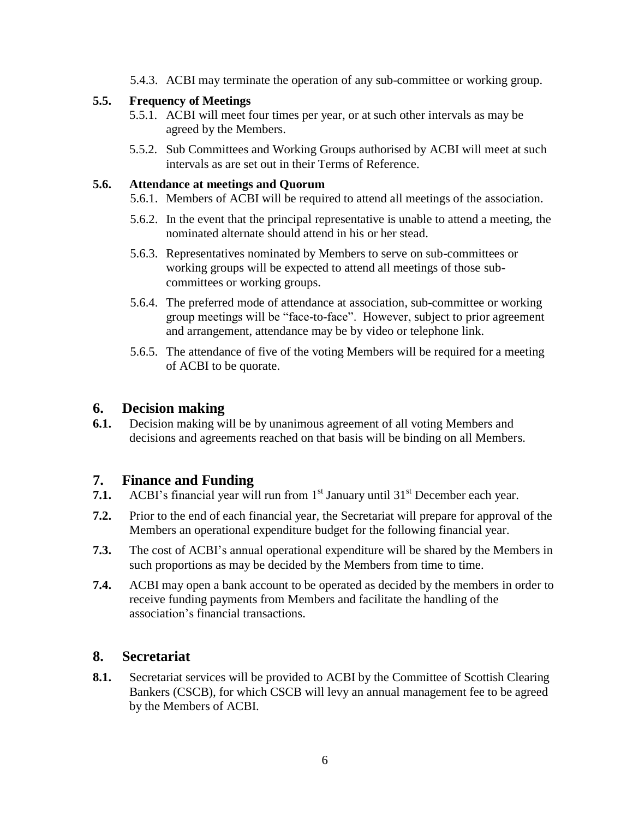5.4.3. ACBI may terminate the operation of any sub-committee or working group.

#### **5.5. Frequency of Meetings**

- 5.5.1. ACBI will meet four times per year, or at such other intervals as may be agreed by the Members.
- 5.5.2. Sub Committees and Working Groups authorised by ACBI will meet at such intervals as are set out in their Terms of Reference.

#### **5.6. Attendance at meetings and Quorum**

- 5.6.1. Members of ACBI will be required to attend all meetings of the association.
- 5.6.2. In the event that the principal representative is unable to attend a meeting, the nominated alternate should attend in his or her stead.
- 5.6.3. Representatives nominated by Members to serve on sub-committees or working groups will be expected to attend all meetings of those subcommittees or working groups.
- 5.6.4. The preferred mode of attendance at association, sub-committee or working group meetings will be "face-to-face". However, subject to prior agreement and arrangement, attendance may be by video or telephone link.
- 5.6.5. The attendance of five of the voting Members will be required for a meeting of ACBI to be quorate.

# **6. Decision making**

**6.1.** Decision making will be by unanimous agreement of all voting Members and decisions and agreements reached on that basis will be binding on all Members.

# **7. Finance and Funding**

- **7.1.** ACBI's financial year will run from 1<sup>st</sup> January until 31<sup>st</sup> December each year.
- **7.2.** Prior to the end of each financial year, the Secretariat will prepare for approval of the Members an operational expenditure budget for the following financial year.
- **7.3.** The cost of ACBI's annual operational expenditure will be shared by the Members in such proportions as may be decided by the Members from time to time.
- **7.4.** ACBI may open a bank account to be operated as decided by the members in order to receive funding payments from Members and facilitate the handling of the association's financial transactions.

# **8. Secretariat**

**8.1.** Secretariat services will be provided to ACBI by the Committee of Scottish Clearing Bankers (CSCB), for which CSCB will levy an annual management fee to be agreed by the Members of ACBI.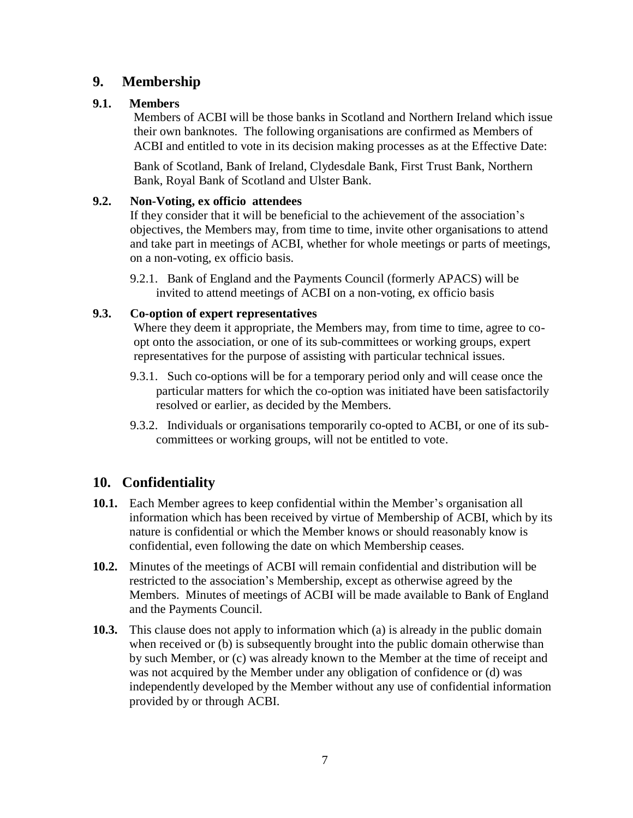# **9. Membership**

## **9.1. Members**

Members of ACBI will be those banks in Scotland and Northern Ireland which issue their own banknotes. The following organisations are confirmed as Members of ACBI and entitled to vote in its decision making processes as at the Effective Date:

Bank of Scotland, Bank of Ireland, Clydesdale Bank, First Trust Bank, Northern Bank, Royal Bank of Scotland and Ulster Bank.

#### **9.2. Non-Voting, ex officio attendees**

If they consider that it will be beneficial to the achievement of the association's objectives, the Members may, from time to time, invite other organisations to attend and take part in meetings of ACBI, whether for whole meetings or parts of meetings, on a non-voting, ex officio basis.

9.2.1. Bank of England and the Payments Council (formerly APACS) will be invited to attend meetings of ACBI on a non-voting, ex officio basis

## **9.3. Co-option of expert representatives**

Where they deem it appropriate, the Members may, from time to time, agree to coopt onto the association, or one of its sub-committees or working groups, expert representatives for the purpose of assisting with particular technical issues.

- 9.3.1. Such co-options will be for a temporary period only and will cease once the particular matters for which the co-option was initiated have been satisfactorily resolved or earlier, as decided by the Members.
- 9.3.2. Individuals or organisations temporarily co-opted to ACBI, or one of its subcommittees or working groups, will not be entitled to vote.

# **10. Confidentiality**

- **10.1.** Each Member agrees to keep confidential within the Member's organisation all information which has been received by virtue of Membership of ACBI, which by its nature is confidential or which the Member knows or should reasonably know is confidential, even following the date on which Membership ceases.
- **10.2.** Minutes of the meetings of ACBI will remain confidential and distribution will be restricted to the association's Membership, except as otherwise agreed by the Members. Minutes of meetings of ACBI will be made available to Bank of England and the Payments Council.
- **10.3.** This clause does not apply to information which (a) is already in the public domain when received or (b) is subsequently brought into the public domain otherwise than by such Member, or (c) was already known to the Member at the time of receipt and was not acquired by the Member under any obligation of confidence or (d) was independently developed by the Member without any use of confidential information provided by or through ACBI.